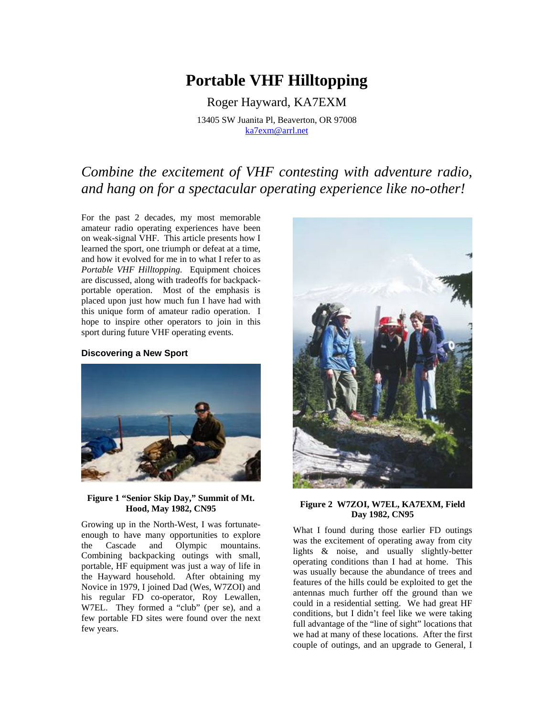# **Portable VHF Hilltopping**

Roger Hayward, KA7EXM 13405 SW Juanita Pl, Beaverton, OR 97008 [ka7exm@arrl.net](mailto:ka7exm@arrl.net)

# *Combine the excitement of VHF contesting with adventure radio, and hang on for a spectacular operating experience like no-other!*

For the past 2 decades, my most memorable amateur radio operating experiences have been on weak-signal VHF. This article presents how I learned the sport, one triumph or defeat at a time, and how it evolved for me in to what I refer to as *Portable VHF Hilltopping*. Equipment choices are discussed, along with tradeoffs for backpackportable operation. Most of the emphasis is placed upon just how much fun I have had with this unique form of amateur radio operation. I hope to inspire other operators to join in this sport during future VHF operating events.

# **Discovering a New Sport**



# **Figure 1 "Senior Skip Day," Summit of Mt. Hood, May 1982, CN95**

Growing up in the North-West, I was fortunateenough to have many opportunities to explore the Cascade and Olympic mountains. Combining backpacking outings with small, portable, HF equipment was just a way of life in the Hayward household. After obtaining my Novice in 1979, I joined Dad (Wes, W7ZOI) and his regular FD co-operator, Roy Lewallen, W7EL. They formed a "club" (per se), and a few portable FD sites were found over the next few years.



#### **Figure 2 W7ZOI, W7EL, KA7EXM, Field Day 1982, CN95**

What I found during those earlier FD outings was the excitement of operating away from city lights & noise, and usually slightly-better operating conditions than I had at home. This was usually because the abundance of trees and features of the hills could be exploited to get the antennas much further off the ground than we could in a residential setting. We had great HF conditions, but I didn't feel like we were taking full advantage of the "line of sight" locations that we had at many of these locations. After the first couple of outings, and an upgrade to General, I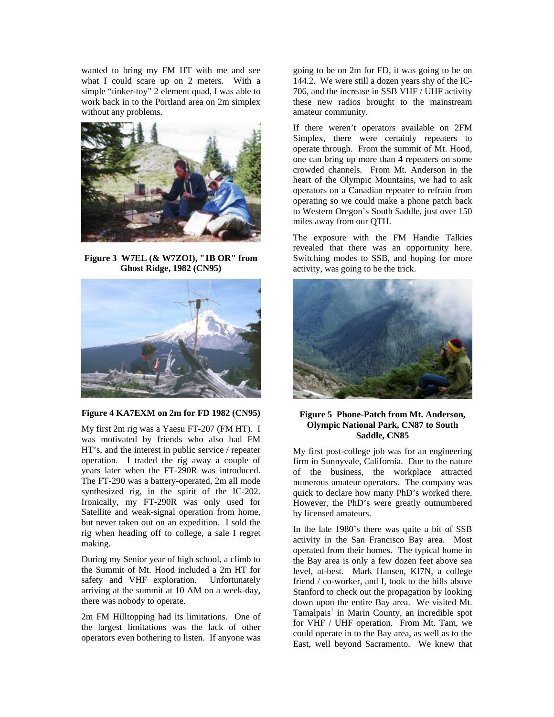wanted to bring my FM HT with me and see what I could scare up on 2 meters. With a simple "tinker-toy" 2 element quad, I was able to work back in to the Portland area on 2m simplex without any problems.



**Figure 3 W7EL (& W7ZOI), "1B OR" from Ghost Ridge, 1982 (CN95)**



# **Figure 4 KA7EXM on 2m for FD 1982 (CN95)**

My first 2m rig was a Yaesu FT-207 (FM HT). I was motivated by friends who also had FM HT's, and the interest in public service / repeater operation. I traded the rig away a couple of years later when the FT-290R was introduced. The FT-290 was a battery-operated, 2m all mode synthesized rig, in the spirit of the IC-202. Ironically, my FT-290R was only used for Satellite and weak-signal operation from home, but never taken out on an expedition. I sold the rig when heading off to college, a sale I regret making.

During my Senior year of high school, a climb to the Summit of Mt. Hood included a 2m HT for safety and VHF exploration. Unfortunately arriving at the summit at 10 AM on a week-day, there was nobody to operate.

2m FM Hilltopping had its limitations. One of the largest limitations was the lack of other operators even bothering to listen. If anyone was

going to be on 2m for FD, it was going to be on 144.2. We were still a dozen years shy of the IC-706, and the increase in SSB VHF / UHF activity these new radios brought to the mainstream amateur community.

If there weren't operators available on 2FM Simplex, there were certainly repeaters to operate through. From the summit of Mt. Hood, one can bring up more than 4 repeaters on some crowded channels. From Mt. Anderson in the heart of the Olympic Mountains, we had to ask operators on a Canadian repeater to refrain from operating so we could make a phone patch back to Western Oregon's South Saddle, just over 150 miles away from our QTH.

The exposure with the FM Handie Talkies revealed that there was an opportunity here. Switching modes to SSB, and hoping for more activity, was going to be the trick.



# **Figure 5 Phone-Patch from Mt. Anderson, Olympic National Park, CN87 to South Saddle, CN85**

My first post-college job was for an engineering firm in Sunnyvale, California. Due to the nature of the business, the workplace attracted numerous amateur operators. The company was quick to declare how many PhD's worked there. However, the PhD's were greatly outnumbered by licensed amateurs.

In the late 1980's there was quite a bit of SSB activity in the San Francisco Bay area. Most operated from their homes. The typical home in the Bay area is only a few dozen feet above sea level, at-best. Mark Hansen, KI7N, a college friend / co-worker, and I, took to the hills above Stanford to check out the propagation by looking down upon the entire Bay area. We visited Mt. Tamalpais<sup>1</sup> in Marin County, an incredible spot for VHF / UHF operation. From Mt. Tam, we could operate in to the Bay area, as well as to the East, well beyond Sacramento. We knew that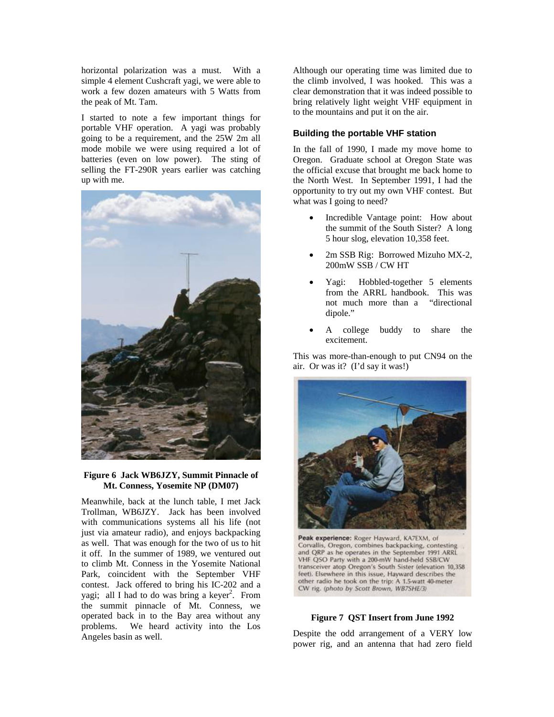horizontal polarization was a must. With a simple 4 element Cushcraft yagi, we were able to work a few dozen amateurs with 5 Watts from the peak of Mt. Tam.

I started to note a few important things for portable VHF operation. A yagi was probably going to be a requirement, and the 25W 2m all mode mobile we were using required a lot of batteries (even on low power). The sting of selling the FT-290R years earlier was catching up with me.



# **Figure 6 Jack WB6JZY, Summit Pinnacle of Mt. Conness, Yosemite NP (DM07)**

Meanwhile, back at the lunch table, I met Jack Trollman, WB6JZY. Jack has been involved with communications systems all his life (not just via amateur radio), and enjoys backpacking as well. That was enough for the two of us to hit it off. In the summer of 1989, we ventured out to climb Mt. Conness in the Yosemite National Park, coincident with the September VHF contest. Jack offered to bring his IC-202 and a yagi; all I had to do was bring a keyer<sup>2</sup>[.](#page-11-1) From the summit pinnacle of Mt. Conness, we operated back in to the Bay area without any problems. We heard activity into the Los Angeles basin as well.

Although our operating time was limited due to the climb involved, I was hooked. This was a clear demonstration that it was indeed possible to bring relatively light weight VHF equipment in to the mountains and put it on the air.

# **Building the portable VHF station**

In the fall of 1990, I made my move home to Oregon. Graduate school at Oregon State was the official excuse that brought me back home to the North West. In September 1991, I had the opportunity to try out my own VHF contest. But what was I going to need?

- Incredible Vantage point: How about the summit of the South Sister? A long 5 hour slog, elevation 10,358 feet.
- 2m SSB Rig: Borrowed Mizuho MX-2, 200mW SSB / CW HT
- Yagi: Hobbled-together 5 elements from the ARRL handbook. This was not much more than a "directional dipole."
- A college buddy to share the excitement.

This was more-than-enough to put CN94 on the air. Or was it? (I'd say it was!)



Peak experience: Roger Hayward, KA7EXM, of Corvallis, Oregon, combines backpacking, contesting and QRP as he operates in the September 1991 ARRL VHF QSO Party with a 200-mW hand-held SSB/CW transceiver atop Oregon's South Sister (elevation 10,358 feet). Elsewhere in this issue, Hayward describes the other radio he took on the trip: A 1.5-watt 40-meter CW rig. (photo by Scott Brown, WB7SHE/3)

## **Figure 7 QST Insert from June 1992**

Despite the odd arrangement of a VERY low power rig, and an antenna that had zero field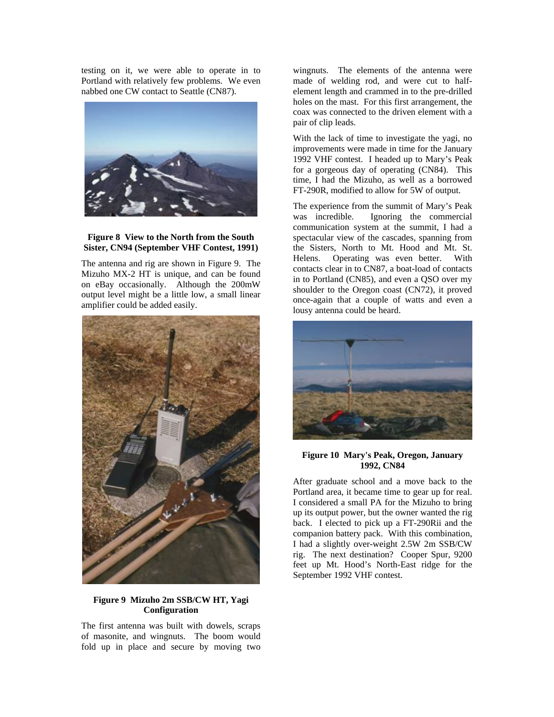testing on it, we were able to operate in to Portland with relatively few problems. We even nabbed one CW contact to Seattle (CN87).



## **Figure 8 View to the North from the South Sister, CN94 (September VHF Contest, 1991)**

The antenna and rig are shown in [Figure 9.](#page-3-0) The Mizuho MX-2 HT is unique, and can be found on eBay occasionally. Although the 200mW output level might be a little low, a small linear amplifier could be added easily.

<span id="page-3-0"></span>

# **Figure 9 Mizuho 2m SSB/CW HT, Yagi Configuration**

The first antenna was built with dowels, scraps of masonite, and wingnuts. The boom would fold up in place and secure by moving two

wingnuts. The elements of the antenna were made of welding rod, and were cut to halfelement length and crammed in to the pre-drilled holes on the mast. For this first arrangement, the coax was connected to the driven element with a pair of clip leads.

With the lack of time to investigate the yagi, no improvements were made in time for the January 1992 VHF contest. I headed up to Mary's Peak for a gorgeous day of operating (CN84). This time, I had the Mizuho, as well as a borrowed FT-290R, modified to allow for 5W of output.

The experience from the summit of Mary's Peak was incredible. Ignoring the commercial communication system at the summit, I had a spectacular view of the cascades, spanning from the Sisters, North to Mt. Hood and Mt. St. Helens. Operating was even better. With contacts clear in to CN87, a boat-load of contacts in to Portland (CN85), and even a QSO over my shoulder to the Oregon coast (CN72), it proved once-again that a couple of watts and even a lousy antenna could be heard.



**Figure 10 Mary's Peak, Oregon, January 1992, CN84**

After graduate school and a move back to the Portland area, it became time to gear up for real. I considered a small PA for the Mizuho to bring up its output power, but the owner wanted the rig back. I elected to pick up a FT-290Rii and the companion battery pack. With this combination, I had a slightly over-weight 2.5W 2m SSB/CW rig. The next destination? Cooper Spur, 9200 feet up Mt. Hood's North-East ridge for the September 1992 VHF contest.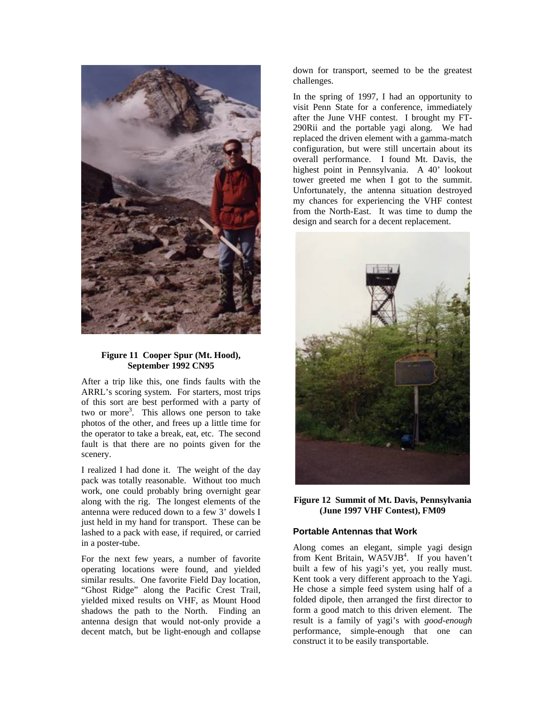

# **Figure 11 Cooper Spur (Mt. Hood), September 1992 CN95**

After a trip like this, one finds faults with the ARRL's scoring system. For starters, most trips of this sort are best performed with a party of two or more<sup>3</sup>. This allows one person to take photos of the other, and frees up a little time for the operator to take a break, eat, etc. The second fault is that there are no points given for the scenery.

I realized I had done it. The weight of the day pack was totally reasonable. Without too much work, one could probably bring overnight gear along with the rig. The longest elements of the antenna were reduced down to a few 3' dowels I just held in my hand for transport. These can be lashed to a pack with ease, if required, or carried in a poster-tube.

For the next few years, a number of favorite operating locations were found, and yielded similar results. One favorite Field Day location, "Ghost Ridge" along the Pacific Crest Trail, yielded mixed results on VHF, as Mount Hood shadows the path to the North. Finding an antenna design that would not-only provide a decent match, but be light-enough and collapse

down for transport, seemed to be the greatest challenges.

In the spring of 1997, I had an opportunity to visit Penn State for a conference, immediately after the June VHF contest. I brought my FT-290Rii and the portable yagi along. We had replaced the driven element with a gamma-match configuration, but were still uncertain about its overall performance. I found Mt. Davis, the highest point in Pennsylvania. A 40' lookout tower greeted me when I got to the summit. Unfortunately, the antenna situation destroyed my chances for experiencing the VHF contest from the North-East. It was time to dump the design and search for a decent replacement.



**Figure 12 Summit of Mt. Davis, Pennsylvania (June 1997 VHF Contest), FM09** 

### **Portable Antennas that Work**

Along comes an elegant, simple yagi design from Kent Britain, WA5VJB<sup>4</sup>[.](#page-11-3) If you haven't built a few of his yagi's yet, you really must. Kent took a very different approach to the Yagi. He chose a simple feed system using half of a folded dipole, then arranged the first director to form a good match to this driven element. The result is a family of yagi's with *good-enough* performance, simple-enough that one can construct it to be easily transportable.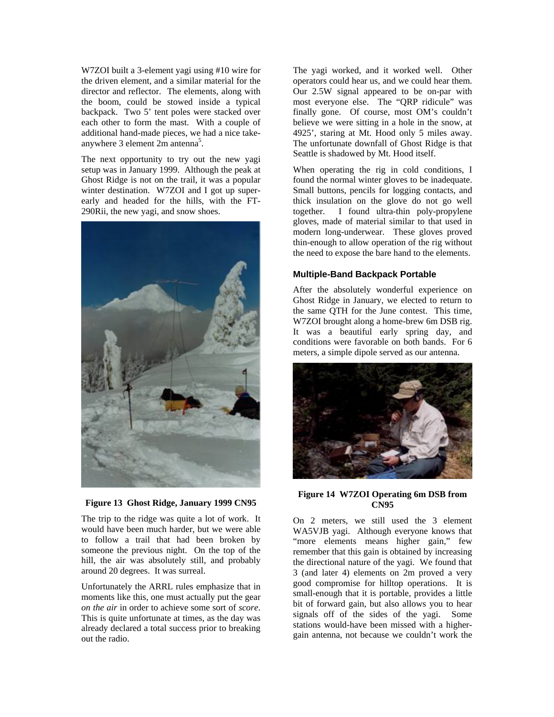W7ZOI built a 3-element yagi using #10 wire for the driven element, and a similar material for the director and reflector. The elements, along with the boom, could be stowed inside a typical backpack. Two 5' tent poles were stacked over each other to form the mast. With a couple of additional hand-made pieces, we had a nice takeanywhere 3 element  $2m$  antenna<sup>[5](#page-11-4)</sup>.

The next opportunity to try out the new yagi setup was in January 1999. Although the peak at Ghost Ridge is not on the trail, it was a popular winter destination. W7ZOI and I got up superearly and headed for the hills, with the FT-290Rii, the new yagi, and snow shoes.



# **Figure 13 Ghost Ridge, January 1999 CN95**

The trip to the ridge was quite a lot of work. It would have been much harder, but we were able to follow a trail that had been broken by someone the previous night. On the top of the hill, the air was absolutely still, and probably around 20 degrees. It was surreal.

Unfortunately the ARRL rules emphasize that in moments like this, one must actually put the gear *on the air* in order to achieve some sort of *score*. This is quite unfortunate at times, as the day was already declared a total success prior to breaking out the radio.

The yagi worked, and it worked well. Other operators could hear us, and we could hear them. Our 2.5W signal appeared to be on-par with most everyone else. The "QRP ridicule" was finally gone. Of course, most OM's couldn't believe we were sitting in a hole in the snow, at 4925', staring at Mt. Hood only 5 miles away. The unfortunate downfall of Ghost Ridge is that Seattle is shadowed by Mt. Hood itself.

When operating the rig in cold conditions, I found the normal winter gloves to be inadequate. Small buttons, pencils for logging contacts, and thick insulation on the glove do not go well together. I found ultra-thin poly-propylene gloves, made of material similar to that used in modern long-underwear. These gloves proved thin-enough to allow operation of the rig without the need to expose the bare hand to the elements.

# **Multiple-Band Backpack Portable**

After the absolutely wonderful experience on Ghost Ridge in January, we elected to return to the same QTH for the June contest. This time, W7ZOI brought along a home-brew 6m DSB rig. It was a beautiful early spring day, and conditions were favorable on both bands. For 6 meters, a simple dipole served as our antenna.



#### **Figure 14 W7ZOI Operating 6m DSB from CN95**

On 2 meters, we still used the 3 element WA5VJB yagi. Although everyone knows that "more elements means higher gain," few remember that this gain is obtained by increasing the directional nature of the yagi. We found that 3 (and later 4) elements on 2m proved a very good compromise for hilltop operations. It is small-enough that it is portable, provides a little bit of forward gain, but also allows you to hear signals off of the sides of the yagi. Some stations would-have been missed with a highergain antenna, not because we couldn't work the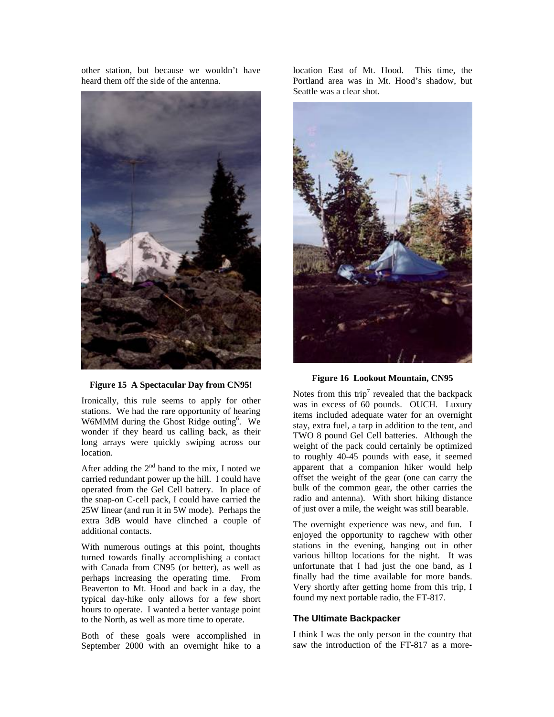other station, but because we wouldn't have heard them off the side of the antenna.



**Figure 15 A Spectacular Day from CN95!**

Ironically, this rule seems to apply for other stations. We had the rare opportunity of hearing W6MMM durin[g](#page-11-5) the Ghost Ridge outing<sup>6</sup>. We wonder if they heard us calling back, as their long arrays were quickly swiping across our location.

After adding the  $2<sup>nd</sup>$  band to the mix, I noted we carried redundant power up the hill. I could have operated from the Gel Cell battery. In place of the snap-on C-cell pack, I could have carried the 25W linear (and run it in 5W mode). Perhaps the extra 3dB would have clinched a couple of additional contacts.

With numerous outings at this point, thoughts turned towards finally accomplishing a contact with Canada from CN95 (or better), as well as perhaps increasing the operating time. From Beaverton to Mt. Hood and back in a day, the typical day-hike only allows for a few short hours to operate. I wanted a better vantage point to the North, as well as more time to operate.

Both of these goals were accomplished in September 2000 with an overnight hike to a location East of Mt. Hood. This time, the Portland area was in Mt. Hood's shadow, but Seattle was a clear shot.



**Figure 16 Lookout Mountain, CN95** 

Notes from this trip<sup>[7](#page-11-6)</sup> revealed that the backpack was in excess of 60 pounds. OUCH. Luxury items included adequate water for an overnight stay, extra fuel, a tarp in addition to the tent, and TWO 8 pound Gel Cell batteries. Although the weight of the pack could certainly be optimized to roughly 40-45 pounds with ease, it seemed apparent that a companion hiker would help offset the weight of the gear (one can carry the bulk of the common gear, the other carries the radio and antenna). With short hiking distance of just over a mile, the weight was still bearable.

The overnight experience was new, and fun. I enjoyed the opportunity to ragchew with other stations in the evening, hanging out in other various hilltop locations for the night. It was unfortunate that I had just the one band, as I finally had the time available for more bands. Very shortly after getting home from this trip, I found my next portable radio, the FT-817.

# **The Ultimate Backpacker**

I think I was the only person in the country that saw the introduction of the FT-817 as a more-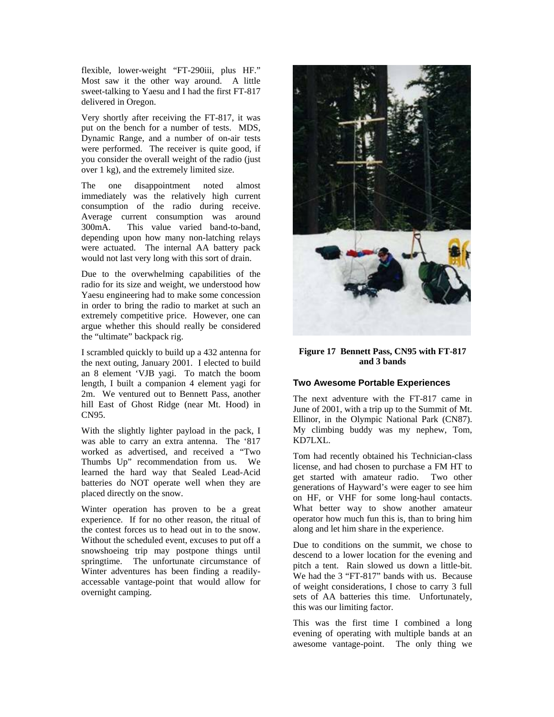flexible, lower-weight "FT-290iii, plus HF." Most saw it the other way around. A little sweet-talking to Yaesu and I had the first FT-817 delivered in Oregon.

Very shortly after receiving the FT-817, it was put on the bench for a number of tests. MDS, Dynamic Range, and a number of on-air tests were performed. The receiver is quite good, if you consider the overall weight of the radio (just over 1 kg), and the extremely limited size.

The one disappointment noted almost immediately was the relatively high current consumption of the radio during receive. Average current consumption was around 300mA. This value varied band-to-band, depending upon how many non-latching relays were actuated. The internal AA battery pack would not last very long with this sort of drain.

Due to the overwhelming capabilities of the radio for its size and weight, we understood how Yaesu engineering had to make some concession in order to bring the radio to market at such an extremely competitive price. However, one can argue whether this should really be considered the "ultimate" backpack rig.

I scrambled quickly to build up a 432 antenna for the next outing, January 2001. I elected to build an 8 element 'VJB yagi. To match the boom length, I built a companion 4 element yagi for 2m. We ventured out to Bennett Pass, another hill East of Ghost Ridge (near Mt. Hood) in CN95.

With the slightly lighter payload in the pack, I was able to carry an extra antenna. The '817 worked as advertised, and received a "Two Thumbs Up" recommendation from us. We learned the hard way that Sealed Lead-Acid batteries do NOT operate well when they are placed directly on the snow.

Winter operation has proven to be a great experience. If for no other reason, the ritual of the contest forces us to head out in to the snow. Without the scheduled event, excuses to put off a snowshoeing trip may postpone things until springtime. The unfortunate circumstance of Winter adventures has been finding a readilyaccessable vantage-point that would allow for overnight camping.



# **Figure 17 Bennett Pass, CN95 with FT-817 and 3 bands**

# **Two Awesome Portable Experiences**

The next adventure with the FT-817 came in June of 2001, with a trip up to the Summit of Mt. Ellinor, in the Olympic National Park (CN87). My climbing buddy was my nephew, Tom, KD7LXL.

Tom had recently obtained his Technician-class license, and had chosen to purchase a FM HT to get started with amateur radio. Two other generations of Hayward's were eager to see him on HF, or VHF for some long-haul contacts. What better way to show another amateur operator how much fun this is, than to bring him along and let him share in the experience.

Due to conditions on the summit, we chose to descend to a lower location for the evening and pitch a tent. Rain slowed us down a little-bit. We had the 3 "FT-817" bands with us. Because of weight considerations, I chose to carry 3 full sets of AA batteries this time. Unfortunately, this was our limiting factor.

This was the first time I combined a long evening of operating with multiple bands at an awesome vantage-point. The only thing we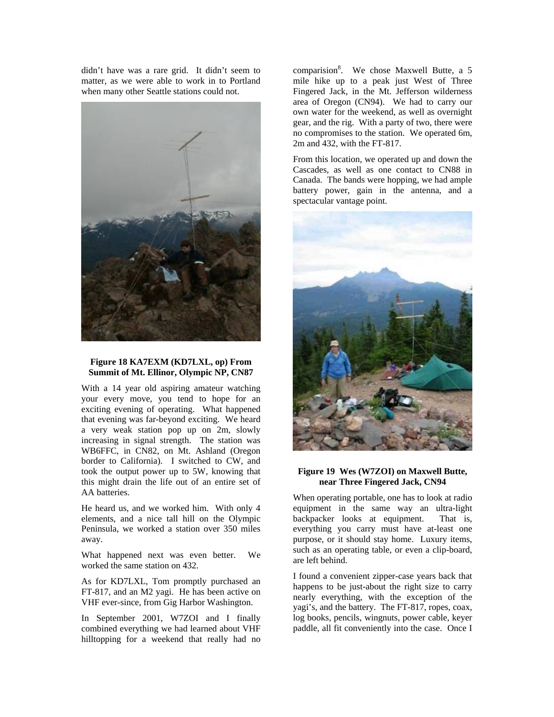didn't have was a rare grid. It didn't seem to matter, as we were able to work in to Portland when many other Seattle stations could not.



## **Figure 18 KA7EXM (KD7LXL, op) From Summit of Mt. Ellinor, Olympic NP, CN87**

With a 14 year old aspiring amateur watching your every move, you tend to hope for an exciting evening of operating. What happened that evening was far-beyond exciting. We heard a very weak station pop up on 2m, slowly increasing in signal strength. The station was WB6FFC, in CN82, on Mt. Ashland (Oregon border to California). I switched to CW, and took the output power up to 5W, knowing that this might drain the life out of an entire set of AA batteries.

He heard us, and we worked him. With only 4 elements, and a nice tall hill on the Olympic Peninsula, we worked a station over 350 miles away.

What happened next was even better. We worked the same station on 432.

As for KD7LXL, Tom promptly purchased an FT-817, and an M2 yagi. He has been active on VHF ever-since, from Gig Harbor Washington.

In September 2001, W7ZOI and I finally combined everything we had learned about VHF hilltopping for a weekend that really had no

comparisio[n](#page-11-7)<sup>8</sup>. We chose Maxwell Butte, a 5 mile hike up to a peak just West of Three Fingered Jack, in the Mt. Jefferson wilderness area of Oregon (CN94). We had to carry our own water for the weekend, as well as overnight gear, and the rig. With a party of two, there were no compromises to the station. We operated 6m, 2m and 432, with the FT-817.

From this location, we operated up and down the Cascades, as well as one contact to CN88 in Canada. The bands were hopping, we had ample battery power, gain in the antenna, and a spectacular vantage point.



## **Figure 19 Wes (W7ZOI) on Maxwell Butte, near Three Fingered Jack, CN94**

When operating portable, one has to look at radio equipment in the same way an ultra-light backpacker looks at equipment. That is, everything you carry must have at-least one purpose, or it should stay home. Luxury items, such as an operating table, or even a clip-board, are left behind.

I found a convenient zipper-case years back that happens to be just-about the right size to carry nearly everything, with the exception of the yagi's, and the battery. The FT-817, ropes, coax, log books, pencils, wingnuts, power cable, keyer paddle, all fit conveniently into the case. Once I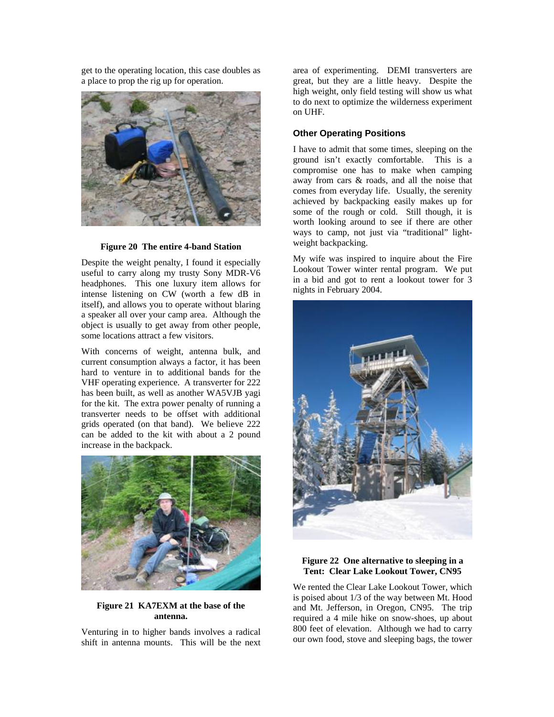get to the operating location, this case doubles as a place to prop the rig up for operation.



#### **Figure 20 The entire 4-band Station**

Despite the weight penalty, I found it especially useful to carry along my trusty Sony MDR-V6 headphones. This one luxury item allows for intense listening on CW (worth a few dB in itself), and allows you to operate without blaring a speaker all over your camp area. Although the object is usually to get away from other people, some locations attract a few visitors.

With concerns of weight, antenna bulk, and current consumption always a factor, it has been hard to venture in to additional bands for the VHF operating experience. A transverter for 222 has been built, as well as another WA5VJB yagi for the kit. The extra power penalty of running a transverter needs to be offset with additional grids operated (on that band). We believe 222 can be added to the kit with about a 2 pound increase in the backpack.



## **Figure 21 KA7EXM at the base of the antenna.**

Venturing in to higher bands involves a radical shift in antenna mounts. This will be the next area of experimenting. DEMI transverters are great, but they are a little heavy. Despite the high weight, only field testing will show us what to do next to optimize the wilderness experiment on UHF.

# **Other Operating Positions**

I have to admit that some times, sleeping on the ground isn't exactly comfortable. This is a compromise one has to make when camping away from cars & roads, and all the noise that comes from everyday life. Usually, the serenity achieved by backpacking easily makes up for some of the rough or cold. Still though, it is worth looking around to see if there are other ways to camp, not just via "traditional" lightweight backpacking.

My wife was inspired to inquire about the Fire Lookout Tower winter rental program. We put in a bid and got to rent a lookout tower for 3 nights in February 2004.



# **Figure 22 One alternative to sleeping in a Tent: Clear Lake Lookout Tower, CN95**

We rented the Clear Lake Lookout Tower, which is poised about 1/3 of the way between Mt. Hood and Mt. Jefferson, in Oregon, CN95. The trip required a 4 mile hike on snow-shoes, up about 800 feet of elevation. Although we had to carry our own food, stove and sleeping bags, the tower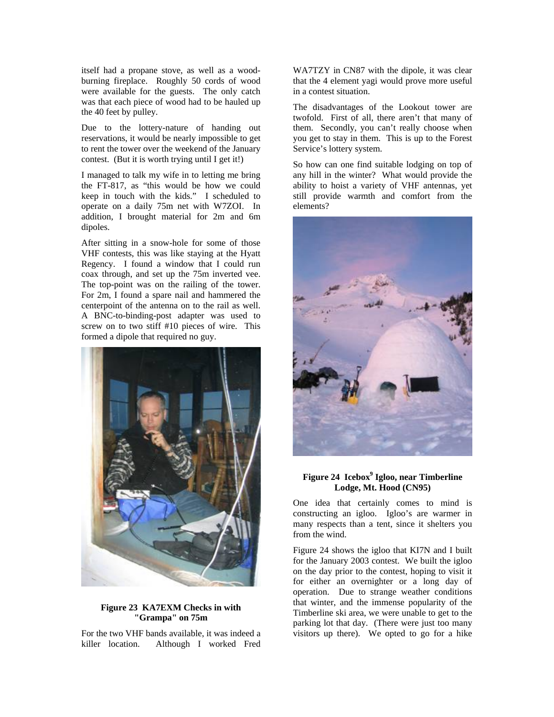itself had a propane stove, as well as a woodburning fireplace. Roughly 50 cords of wood were available for the guests. The only catch was that each piece of wood had to be hauled up the 40 feet by pulley.

Due to the lottery-nature of handing out reservations, it would be nearly impossible to get to rent the tower over the weekend of the January contest. (But it is worth trying until I get it!)

I managed to talk my wife in to letting me bring the FT-817, as "this would be how we could keep in touch with the kids." I scheduled to operate on a daily 75m net with W7ZOI. In addition, I brought material for 2m and 6m dipoles.

After sitting in a snow-hole for some of those VHF contests, this was like staying at the Hyatt Regency. I found a window that I could run coax through, and set up the 75m inverted vee. The top-point was on the railing of the tower. For 2m, I found a spare nail and hammered the centerpoint of the antenna on to the rail as well. A BNC-to-binding-post adapter was used to screw on to two stiff #10 pieces of wire. This formed a dipole that required no guy.



# **Figure 23 KA7EXM Checks in with "Grampa" on 75m**

For the two VHF bands available, it was indeed a killer location. Although I worked Fred

WA7TZY in CN87 with the dipole, it was clear that the 4 element yagi would prove more useful in a contest situation.

The disadvantages of the Lookout tower are twofold. First of all, there aren't that many of them. Secondly, you can't really choose when you get to stay in them. This is up to the Forest Service's lottery system.

So how can one find suitable lodging on top of any hill in the winter? What would provide the ability to hoist a variety of VHF antennas, yet still provide warmth and comfort from the elements?

<span id="page-10-0"></span>

# Figure 24 Icebox<sup>9</sup> Igloo, near Timberline **Lodge, Mt. Hood (CN95)**

One idea that certainly comes to mind is constructing an igloo. Igloo's are warmer in many respects than a tent, since it shelters you from the wind.

[Figure 24](#page-10-0) shows the igloo that KI7N and I built for the January 2003 contest. We built the igloo on the day prior to the contest, hoping to visit it for either an overnighter or a long day of operation. Due to strange weather conditions that winter, and the immense popularity of the Timberline ski area, we were unable to get to the parking lot that day. (There were just too many visitors up there). We opted to go for a hike